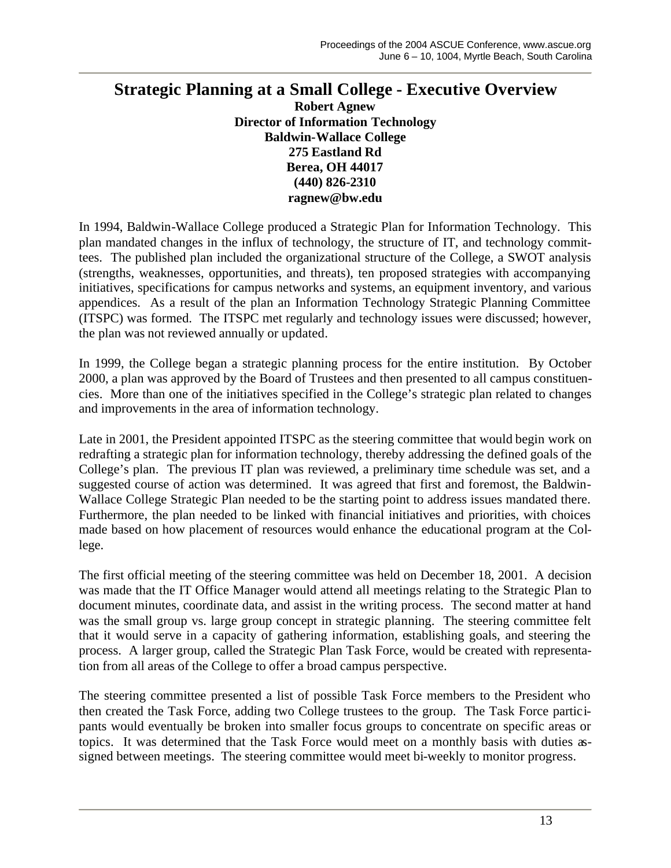## **Strategic Planning at a Small College - Executive Overview Robert Agnew Director of Information Technology Baldwin-Wallace College 275 Eastland Rd**

## **Berea, OH 44017 (440) 826-2310 ragnew@bw.edu**

In 1994, Baldwin-Wallace College produced a Strategic Plan for Information Technology. This plan mandated changes in the influx of technology, the structure of IT, and technology committees. The published plan included the organizational structure of the College, a SWOT analysis (strengths, weaknesses, opportunities, and threats), ten proposed strategies with accompanying initiatives, specifications for campus networks and systems, an equipment inventory, and various appendices. As a result of the plan an Information Technology Strategic Planning Committee (ITSPC) was formed. The ITSPC met regularly and technology issues were discussed; however, the plan was not reviewed annually or updated.

In 1999, the College began a strategic planning process for the entire institution. By October 2000, a plan was approved by the Board of Trustees and then presented to all campus constituencies. More than one of the initiatives specified in the College's strategic plan related to changes and improvements in the area of information technology.

Late in 2001, the President appointed ITSPC as the steering committee that would begin work on redrafting a strategic plan for information technology, thereby addressing the defined goals of the College's plan. The previous IT plan was reviewed, a preliminary time schedule was set, and a suggested course of action was determined. It was agreed that first and foremost, the Baldwin-Wallace College Strategic Plan needed to be the starting point to address issues mandated there. Furthermore, the plan needed to be linked with financial initiatives and priorities, with choices made based on how placement of resources would enhance the educational program at the College.

The first official meeting of the steering committee was held on December 18, 2001. A decision was made that the IT Office Manager would attend all meetings relating to the Strategic Plan to document minutes, coordinate data, and assist in the writing process. The second matter at hand was the small group vs. large group concept in strategic planning. The steering committee felt that it would serve in a capacity of gathering information, establishing goals, and steering the process. A larger group, called the Strategic Plan Task Force, would be created with representation from all areas of the College to offer a broad campus perspective.

The steering committee presented a list of possible Task Force members to the President who then created the Task Force, adding two College trustees to the group. The Task Force participants would eventually be broken into smaller focus groups to concentrate on specific areas or topics. It was determined that the Task Force would meet on a monthly basis with duties assigned between meetings. The steering committee would meet bi-weekly to monitor progress.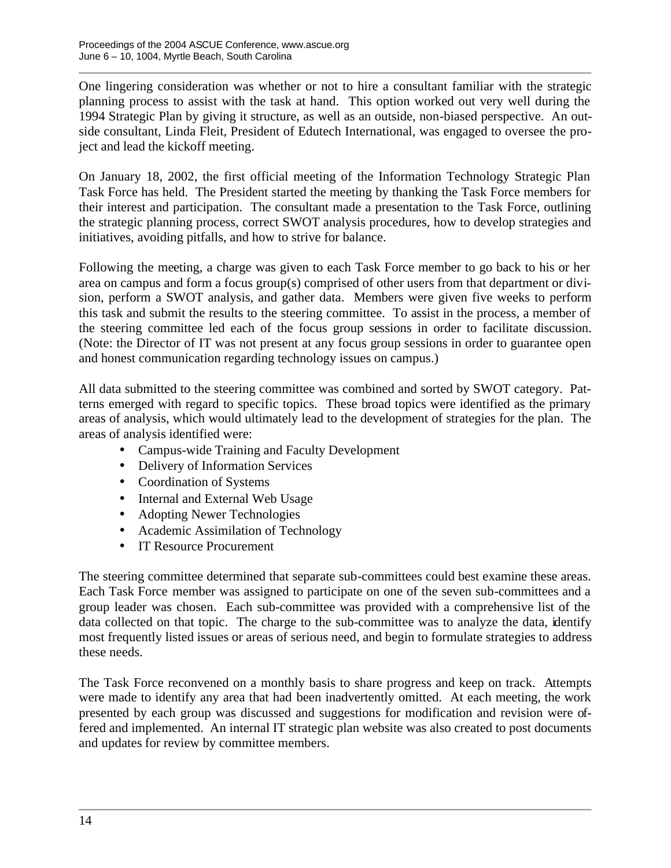One lingering consideration was whether or not to hire a consultant familiar with the strategic planning process to assist with the task at hand. This option worked out very well during the 1994 Strategic Plan by giving it structure, as well as an outside, non-biased perspective. An outside consultant, Linda Fleit, President of Edutech International, was engaged to oversee the project and lead the kickoff meeting.

On January 18, 2002, the first official meeting of the Information Technology Strategic Plan Task Force has held. The President started the meeting by thanking the Task Force members for their interest and participation. The consultant made a presentation to the Task Force, outlining the strategic planning process, correct SWOT analysis procedures, how to develop strategies and initiatives, avoiding pitfalls, and how to strive for balance.

Following the meeting, a charge was given to each Task Force member to go back to his or her area on campus and form a focus group(s) comprised of other users from that department or division, perform a SWOT analysis, and gather data. Members were given five weeks to perform this task and submit the results to the steering committee. To assist in the process, a member of the steering committee led each of the focus group sessions in order to facilitate discussion. (Note: the Director of IT was not present at any focus group sessions in order to guarantee open and honest communication regarding technology issues on campus.)

All data submitted to the steering committee was combined and sorted by SWOT category. Patterns emerged with regard to specific topics. These broad topics were identified as the primary areas of analysis, which would ultimately lead to the development of strategies for the plan. The areas of analysis identified were:

- Campus-wide Training and Faculty Development
- Delivery of Information Services
- Coordination of Systems
- Internal and External Web Usage
- Adopting Newer Technologies
- Academic Assimilation of Technology
- IT Resource Procurement

The steering committee determined that separate sub-committees could best examine these areas. Each Task Force member was assigned to participate on one of the seven sub-committees and a group leader was chosen. Each sub-committee was provided with a comprehensive list of the data collected on that topic. The charge to the sub-committee was to analyze the data, identify most frequently listed issues or areas of serious need, and begin to formulate strategies to address these needs.

The Task Force reconvened on a monthly basis to share progress and keep on track. Attempts were made to identify any area that had been inadvertently omitted. At each meeting, the work presented by each group was discussed and suggestions for modification and revision were offered and implemented. An internal IT strategic plan website was also created to post documents and updates for review by committee members.